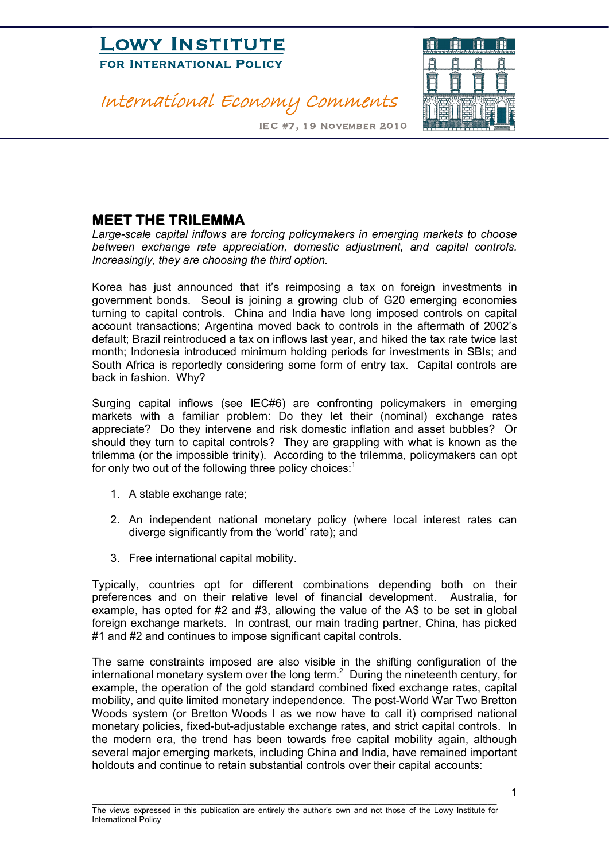

### International Economy Comments



IEC #7, 19 November 2010

#### **MEET THE TRILEMMA**

*Large-scale capital inflows are forcing policymakers in emerging markets to choose between exchange rate appreciation, domestic adjustment, and capital controls. Increasingly, they are choosing the third option.*

Korea has just announced that it's reimposing a tax on foreign investments in government bonds. Seoul is joining a growing club of G20 emerging economies turning to capital controls. China and India have long imposed controls on capital account transactions; Argentina moved back to controls in the aftermath of 2002's default; Brazil reintroduced a tax on inflows last year, and hiked the tax rate twice last month; Indonesia introduced minimum holding periods for investments in SBIs; and South Africa is reportedly considering some form of entry tax. Capital controls are back in fashion. Why?

Surging capital inflows (see IEC#6) are confronting policymakers in emerging markets with a familiar problem: Do they let their (nominal) exchange rates appreciate? Do they intervene and risk domestic inflation and asset bubbles? Or should they turn to capital controls? They are grappling with what is known as the trilemma (or the impossible trinity). According to the trilemma, policymakers can opt for only two out of the following three policy choices:<sup>1</sup>

- 1. A stable exchange rate;
- 2. An independent national monetary policy (where local interest rates can diverge significantly from the 'world' rate); and
- 3. Free international capital mobility.

Typically, countries opt for different combinations depending both on their preferences and on their relative level of financial development. Australia, for example, has opted for #2 and #3, allowing the value of the A\$ to be set in global foreign exchange markets. In contrast, our main trading partner, China, has picked #1 and #2 and continues to impose significant capital controls.

The same constraints imposed are also visible in the shifting configuration of the international monetary system over the long term.<sup>2</sup> During the nineteenth century, for example, the operation of the gold standard combined fixed exchange rates, capital mobility, and quite limited monetary independence. The post-World War Two Bretton Woods system (or Bretton Woods I as we now have to call it) comprised national monetary policies, fixed-but-adjustable exchange rates, and strict capital controls. In the modern era, the trend has been towards free capital mobility again, although several major emerging markets, including China and India, have remained important holdouts and continue to retain substantial controls over their capital accounts: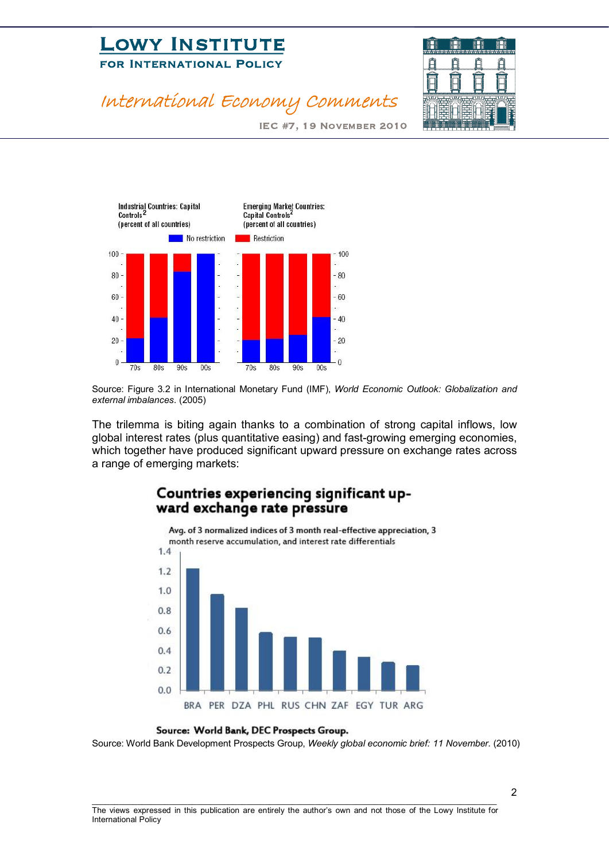# **LOWI INSTITUTE**<br>FOR INTERNATIONAL POLICY FOR INTERNATIONAL POLICE



IEC #7, 19 November 2010



International Economy Comments

Source: Figure 3.2 in International Monetary Fund (IMF), *World Economic Outlook: Globalization and external imbalances*. (2005)

The trilemma is biting again thanks to a combination of strong capital inflows, low global interest rates (plus quantitative easing) and fast-growing emerging economies, which together have produced significant upward pressure on exchange rates across a range of emerging markets:

#### Countries experiencing significant upward exchange rate pressure



Source: World Bank, DEC Prospects Group.

Source: World Bank Development Prospects Group, *Weekly global economic brief: 11 November*. (2010)

\_\_\_\_\_\_\_\_\_\_\_\_\_\_\_\_\_\_\_\_\_\_\_\_\_\_\_\_\_\_\_\_\_\_\_\_\_\_\_\_\_\_\_\_\_\_\_\_\_\_\_\_\_\_\_\_\_\_\_\_\_\_\_\_\_\_\_\_\_\_\_\_\_\_\_\_\_\_\_\_\_\_\_\_\_\_\_\_\_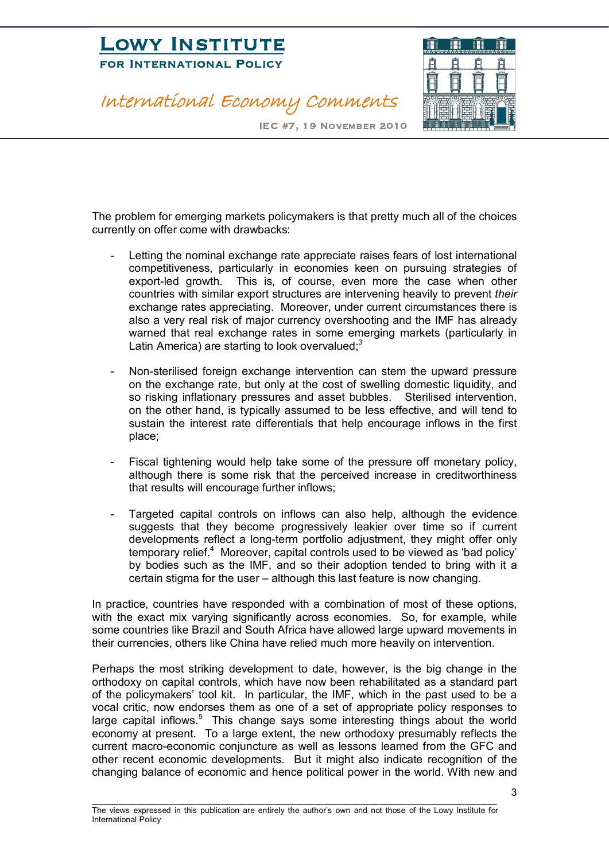# **LOWI INSTITUTE**<br>FOR INTERNATIONAL POLICY FOR INTERNATIONAL POLICE

International Economy Comments



IEC #7, 19 November 2010

The problem for emerging markets policymakers is that pretty much all of the choices currently on offer come with drawbacks:

- Letting the nominal exchange rate appreciate raises fears of lost international competitiveness, particularly in economies keen on pursuing strategies of export-led growth. This is, of course, even more the case when other countries with similar export structures are intervening heavily to prevent *their* exchange rates appreciating. Moreover, under current circumstances there is also a very real risk of major currency overshooting and the IMF has already warned that real exchange rates in some emerging markets (particularly in Latin America) are starting to look overvalued; $3$
- Non-sterilised foreign exchange intervention can stem the upward pressure on the exchange rate, but only at the cost of swelling domestic liquidity, and so risking inflationary pressures and asset bubbles. Sterilised intervention, on the other hand, is typically assumed to be less effective, and will tend to sustain the interest rate differentials that help encourage inflows in the first place;
- Fiscal tightening would help take some of the pressure off monetary policy, although there is some risk that the perceived increase in creditworthiness that results will encourage further inflows;
- Targeted capital controls on inflows can also help, although the evidence suggests that they become progressively leakier over time so if current developments reflect a long-term portfolio adjustment, they might offer only temporary relief.<sup>4</sup> Moreover, capital controls used to be viewed as 'bad policy' by bodies such as the IMF, and so their adoption tended to bring with it a certain stigma for the user – although this last feature is now changing.

In practice, countries have responded with a combination of most of these options, with the exact mix varying significantly across economies. So, for example, while some countries like Brazil and South Africa have allowed large upward movements in their currencies, others like China have relied much more heavily on intervention.

Perhaps the most striking development to date, however, is the big change in the orthodoxy on capital controls, which have now been rehabilitated as a standard part of the policymakers' tool kit. In particular, the IMF, which in the past used to be a vocal critic, now endorses them as one of a set of appropriate policy responses to large capital inflows.<sup>5</sup> This change says some interesting things about the world economy at present. To a large extent, the new orthodoxy presumably reflects the current macro-economic conjuncture as well as lessons learned from the GFC and other recent economic developments. But it might also indicate recognition of the changing balance of economic and hence political power in the world. With new and